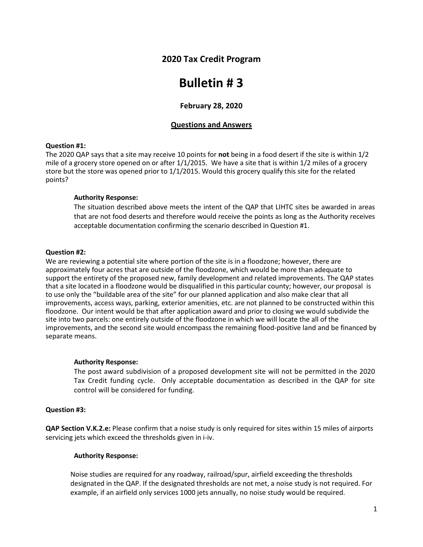## **2020 Tax Credit Program**

# **Bulletin # 3**

## **February 28, 2020**

## **Questions and Answers**

#### **Question #1:**

The 2020 QAP says that a site may receive 10 points for **not** being in a food desert if the site is within 1/2 mile of a grocery store opened on or after 1/1/2015. We have a site that is within 1/2 miles of a grocery store but the store was opened prior to 1/1/2015. Would this grocery qualify this site for the related points?

## **Authority Response:**

The situation described above meets the intent of the QAP that LIHTC sites be awarded in areas that are not food deserts and therefore would receive the points as long as the Authority receives acceptable documentation confirming the scenario described in Question #1.

#### **Question #2:**

We are reviewing a potential site where portion of the site is in a floodzone; however, there are approximately four acres that are outside of the floodzone, which would be more than adequate to support the entirety of the proposed new, family development and related improvements. The QAP states that a site located in a floodzone would be disqualified in this particular county; however, our proposal is to use only the "buildable area of the site" for our planned application and also make clear that all improvements, access ways, parking, exterior amenities, etc. are not planned to be constructed within this floodzone. Our intent would be that after application award and prior to closing we would subdivide the site into two parcels: one entirely outside of the floodzone in which we will locate the all of the improvements, and the second site would encompass the remaining flood-positive land and be financed by separate means.

## **Authority Response:**

The post award subdivision of a proposed development site will not be permitted in the 2020 Tax Credit funding cycle. Only acceptable documentation as described in the QAP for site control will be considered for funding.

## **Question #3:**

**QAP Section V.K.2.e:** Please confirm that a noise study is only required for sites within 15 miles of airports servicing jets which exceed the thresholds given in i-iv.

## **Authority Response:**

Noise studies are required for any roadway, railroad/spur, airfield exceeding the thresholds designated in the QAP. If the designated thresholds are not met, a noise study is not required. For example, if an airfield only services 1000 jets annually, no noise study would be required.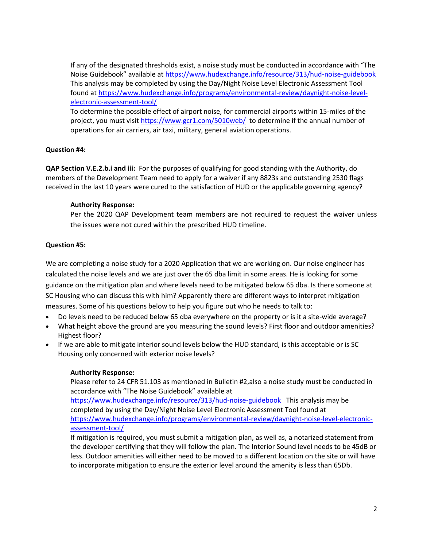If any of the designated thresholds exist, a noise study must be conducted in accordance with "The Noise Guidebook" available at <https://www.hudexchange.info/resource/313/hud-noise-guidebook> This analysis may be completed by using the Day/Night Noise Level Electronic Assessment Tool found a[t https://www.hudexchange.info/programs/environmental-review/daynight-noise-level](https://www.hudexchange.info/programs/environmental-review/daynight-noise-level-electronic-assessment-tool/)[electronic-assessment-tool/](https://www.hudexchange.info/programs/environmental-review/daynight-noise-level-electronic-assessment-tool/)

To determine the possible effect of airport noise, for commercial airports within 15-miles of the project, you must visi[t https://www.gcr1.com/5010web/](https://www.gcr1.com/5010web/) to determine if the annual number of operations for air carriers, air taxi, military, general aviation operations.

## **Question #4:**

**QAP Section V.E.2.b.i and iii:** For the purposes of qualifying for good standing with the Authority, do members of the Development Team need to apply for a waiver if any 8823s and outstanding 2530 flags received in the last 10 years were cured to the satisfaction of HUD or the applicable governing agency?

## **Authority Response:**

Per the 2020 QAP Development team members are not required to request the waiver unless the issues were not cured within the prescribed HUD timeline.

## **Question #5:**

We are completing a noise study for a 2020 Application that we are working on. Our noise engineer has calculated the noise levels and we are just over the 65 dba limit in some areas. He is looking for some guidance on the mitigation plan and where levels need to be mitigated below 65 dba. Is there someone at SC Housing who can discuss this with him? Apparently there are different ways to interpret mitigation measures. Some of his questions below to help you figure out who he needs to talk to:

- Do levels need to be reduced below 65 dba everywhere on the property or is it a site-wide average?
- What height above the ground are you measuring the sound levels? First floor and outdoor amenities? Highest floor?
- If we are able to mitigate interior sound levels below the HUD standard, is this acceptable or is SC Housing only concerned with exterior noise levels?

## **Authority Response:**

Please refer to 24 CFR 51.103 as mentioned in Bulletin #2,also a noise study must be conducted in accordance with "The Noise Guidebook" available at

<https://www.hudexchange.info/resource/313/hud-noise-guidebook>This analysis may be completed by using the Day/Night Noise Level Electronic Assessment Tool found at [https://www.hudexchange.info/programs/environmental-review/daynight-noise-level-electronic](https://www.hudexchange.info/programs/environmental-review/daynight-noise-level-electronic-assessment-tool/)[assessment-tool/](https://www.hudexchange.info/programs/environmental-review/daynight-noise-level-electronic-assessment-tool/)

If mitigation is required, you must submit a mitigation plan, as well as, a notarized statement from the developer certifying that they will follow the plan. The Interior Sound level needs to be 45dB or less. Outdoor amenities will either need to be moved to a different location on the site or will have to incorporate mitigation to ensure the exterior level around the amenity is less than 65Db.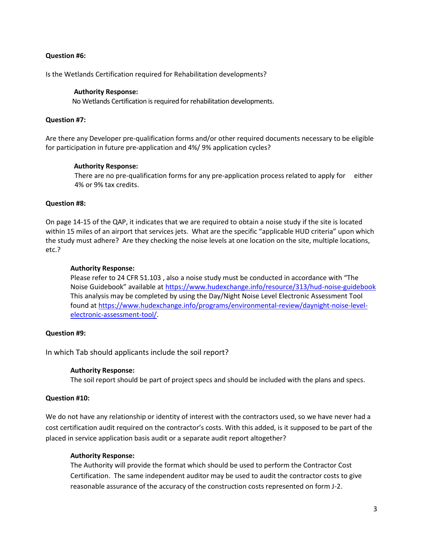## **Question #6:**

Is the Wetlands Certification required for Rehabilitation developments?

#### **Authority Response:**

No Wetlands Certification is required for rehabilitation developments.

#### **Question #7:**

Are there any Developer pre-qualification forms and/or other required documents necessary to be eligible for participation in future pre-application and 4%/ 9% application cycles?

#### **Authority Response:**

There are no pre-qualification forms for any pre-application process related to apply for either 4% or 9% tax credits.

#### **Question #8:**

On page 14-15 of the QAP, it indicates that we are required to obtain a noise study if the site is located within 15 miles of an airport that services jets. What are the specific "applicable HUD criteria" upon which the study must adhere? Are they checking the noise levels at one location on the site, multiple locations, etc.?

#### **Authority Response:**

Please refer to 24 CFR 51.103 , also a noise study must be conducted in accordance with "The Noise Guidebook" available at <https://www.hudexchange.info/resource/313/hud-noise-guidebook> This analysis may be completed by using the Day/Night Noise Level Electronic Assessment Tool found a[t https://www.hudexchange.info/programs/environmental-review/daynight-noise-level](https://www.hudexchange.info/programs/environmental-review/daynight-noise-level-electronic-assessment-tool/)[electronic-assessment-tool/.](https://www.hudexchange.info/programs/environmental-review/daynight-noise-level-electronic-assessment-tool/)

## **Question #9:**

In which Tab should applicants include the soil report?

#### **Authority Response:**

The soil report should be part of project specs and should be included with the plans and specs.

## **Question #10:**

We do not have any relationship or identity of interest with the contractors used, so we have never had a cost certification audit required on the contractor's costs. With this added, is it supposed to be part of the placed in service application basis audit or a separate audit report altogether?

#### **Authority Response:**

The Authority will provide the format which should be used to perform the Contractor Cost Certification. The same independent auditor may be used to audit the contractor costs to give reasonable assurance of the accuracy of the construction costs represented on form J-2.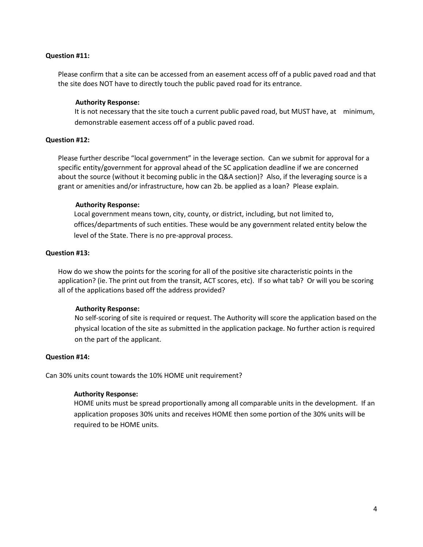#### **Question #11:**

Please confirm that a site can be accessed from an easement access off of a public paved road and that the site does NOT have to directly touch the public paved road for its entrance.

#### **Authority Response:**

It is not necessary that the site touch a current public paved road, but MUST have, at minimum, demonstrable easement access off of a public paved road.

## **Question #12:**

Please further describe "local government" in the leverage section. Can we submit for approval for a specific entity/government for approval ahead of the SC application deadline if we are concerned about the source (without it becoming public in the Q&A section)? Also, if the leveraging source is a grant or amenities and/or infrastructure, how can 2b. be applied as a loan? Please explain.

#### **Authority Response:**

Local government means town, city, county, or district, including, but not limited to, offices/departments of such entities. These would be any government related entity below the level of the State. There is no pre-approval process.

#### **Question #13:**

How do we show the points for the scoring for all of the positive site characteristic points in the application? (ie. The print out from the transit, ACT scores, etc). If so what tab? Or will you be scoring all of the applications based off the address provided?

#### **Authority Response:**

No self-scoring of site is required or request. The Authority will score the application based on the physical location of the site as submitted in the application package. No further action is required on the part of the applicant.

#### **Question #14:**

Can 30% units count towards the 10% HOME unit requirement?

#### **Authority Response:**

HOME units must be spread proportionally among all comparable units in the development. If an application proposes 30% units and receives HOME then some portion of the 30% units will be required to be HOME units.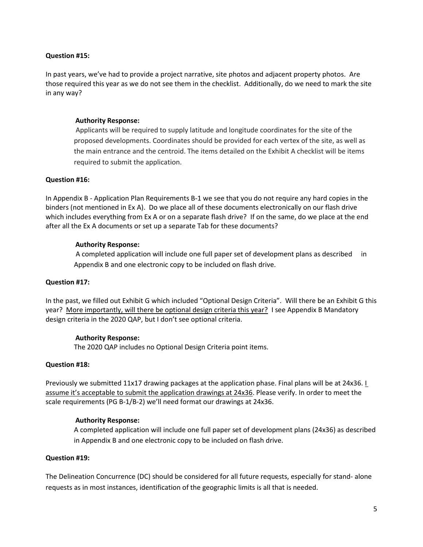## **Question #15:**

In past years, we've had to provide a project narrative, site photos and adjacent property photos. Are those required this year as we do not see them in the checklist. Additionally, do we need to mark the site in any way?

## **Authority Response:**

Applicants will be required to supply latitude and longitude coordinates for the site of the proposed developments. Coordinates should be provided for each vertex of the site, as well as the main entrance and the centroid. The items detailed on the Exhibit A checklist will be items required to submit the application.

## **Question #16:**

In Appendix B - Application Plan Requirements B-1 we see that you do not require any hard copies in the binders (not mentioned in Ex A). Do we place all of these documents electronically on our flash drive which includes everything from Ex A or on a separate flash drive? If on the same, do we place at the end after all the Ex A documents or set up a separate Tab for these documents?

## **Authority Response:**

A completed application will include one full paper set of development plans as described in Appendix B and one electronic copy to be included on flash drive.

## **Question #17:**

In the past, we filled out Exhibit G which included "Optional Design Criteria". Will there be an Exhibit G this year? More importantly, will there be optional design criteria this year? I see Appendix B Mandatory design criteria in the 2020 QAP, but I don't see optional criteria.

## **Authority Response:**

The 2020 QAP includes no Optional Design Criteria point items.

## **Question #18:**

Previously we submitted 11x17 drawing packages at the application phase. Final plans will be at 24x36. I assume it's acceptable to submit the application drawings at 24x36. Please verify. In order to meet the scale requirements (PG B-1/B-2) we'll need format our drawings at 24x36.

## **Authority Response:**

A completed application will include one full paper set of development plans (24x36) as described in Appendix B and one electronic copy to be included on flash drive.

## **Question #19:**

The Delineation Concurrence (DC) should be considered for all future requests, especially for stand- alone requests as in most instances, identification of the geographic limits is all that is needed.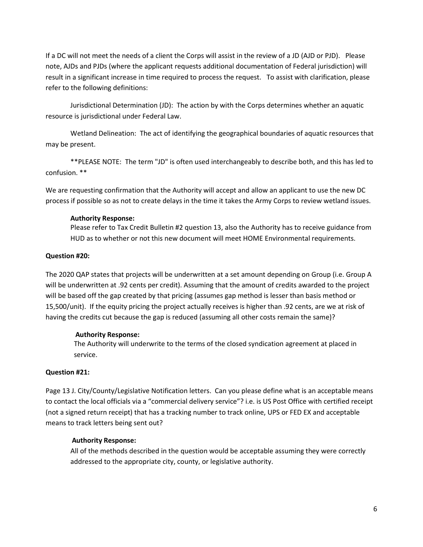If a DC will not meet the needs of a client the Corps will assist in the review of a JD (AJD or PJD). Please note, AJDs and PJDs (where the applicant requests additional documentation of Federal jurisdiction) will result in a significant increase in time required to process the request. To assist with clarification, please refer to the following definitions:

Jurisdictional Determination (JD): The action by with the Corps determines whether an aquatic resource is jurisdictional under Federal Law.

Wetland Delineation: The act of identifying the geographical boundaries of aquatic resources that may be present.

\*\*PLEASE NOTE: The term "JD" is often used interchangeably to describe both, and this has led to confusion. \*\*

We are requesting confirmation that the Authority will accept and allow an applicant to use the new DC process if possible so as not to create delays in the time it takes the Army Corps to review wetland issues.

## **Authority Response:**

Please refer to Tax Credit Bulletin #2 question 13, also the Authority has to receive guidance from HUD as to whether or not this new document will meet HOME Environmental requirements.

## **Question #20:**

The 2020 QAP states that projects will be underwritten at a set amount depending on Group (i.e. Group A will be underwritten at .92 cents per credit). Assuming that the amount of credits awarded to the project will be based off the gap created by that pricing (assumes gap method is lesser than basis method or 15,500/unit). If the equity pricing the project actually receives is higher than .92 cents, are we at risk of having the credits cut because the gap is reduced (assuming all other costs remain the same)?

## **Authority Response:**

The Authority will underwrite to the terms of the closed syndication agreement at placed in service.

## **Question #21:**

Page 13 J. City/County/Legislative Notification letters. Can you please define what is an acceptable means to contact the local officials via a "commercial delivery service"? i.e. is US Post Office with certified receipt (not a signed return receipt) that has a tracking number to track online, UPS or FED EX and acceptable means to track letters being sent out?

## **Authority Response:**

All of the methods described in the question would be acceptable assuming they were correctly addressed to the appropriate city, county, or legislative authority.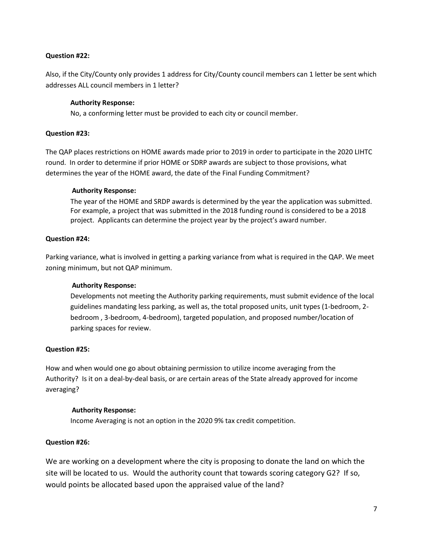## **Question #22:**

Also, if the City/County only provides 1 address for City/County council members can 1 letter be sent which addresses ALL council members in 1 letter?

## **Authority Response:**

No, a conforming letter must be provided to each city or council member.

## **Question #23:**

The QAP places restrictions on HOME awards made prior to 2019 in order to participate in the 2020 LIHTC round. In order to determine if prior HOME or SDRP awards are subject to those provisions, what determines the year of the HOME award, the date of the Final Funding Commitment?

## **Authority Response:**

The year of the HOME and SRDP awards is determined by the year the application was submitted. For example, a project that was submitted in the 2018 funding round is considered to be a 2018 project. Applicants can determine the project year by the project's award number.

## **Question #24:**

Parking variance, what is involved in getting a parking variance from what is required in the QAP. We meet zoning minimum, but not QAP minimum.

## **Authority Response:**

Developments not meeting the Authority parking requirements, must submit evidence of the local guidelines mandating less parking, as well as, the total proposed units, unit types (1-bedroom, 2 bedroom , 3-bedroom, 4-bedroom), targeted population, and proposed number/location of parking spaces for review.

## **Question #25:**

How and when would one go about obtaining permission to utilize income averaging from the Authority? Is it on a deal-by-deal basis, or are certain areas of the State already approved for income averaging?

## **Authority Response:**

Income Averaging is not an option in the 2020 9% tax credit competition.

## **Question #26:**

We are working on a development where the city is proposing to donate the land on which the site will be located to us. Would the authority count that towards scoring category G2? If so, would points be allocated based upon the appraised value of the land?